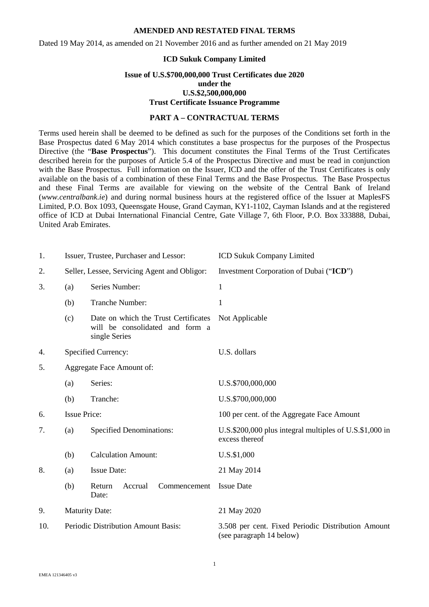Dated 19 May 2014, as amended on 21 November 2016 and as further amended on 21 May 2019

#### **ICD Sukuk Company Limited**

#### **Issue of U.S.\$700,000,000 Trust Certificates due 2020 under the U.S.\$2,500,000,000 Trust Certificate Issuance Programme**

### **PART A – CONTRACTUAL TERMS**

Terms used herein shall be deemed to be defined as such for the purposes of the Conditions set forth in the Base Prospectus dated 6 May 2014 which constitutes a base prospectus for the purposes of the Prospectus Directive (the "**Base Prospectus**"). This document constitutes the Final Terms of the Trust Certificates described herein for the purposes of Article 5.4 of the Prospectus Directive and must be read in conjunction with the Base Prospectus. Full information on the Issuer, ICD and the offer of the Trust Certificates is only available on the basis of a combination of these Final Terms and the Base Prospectus. The Base Prospectus and these Final Terms are available for viewing on the website of the Central Bank of Ireland (*www.centralbank.ie*) and during normal business hours at the registered office of the Issuer at MaplesFS Limited, P.O. Box 1093, Queensgate House, Grand Cayman, KY1-1102, Cayman Islands and at the registered office of ICD at Dubai International Financial Centre, Gate Village 7, 6th Floor, P.O. Box 333888, Dubai, United Arab Emirates.

| 1.  |                                              | Issuer, Trustee, Purchaser and Lessor:                                                   | <b>ICD Sukuk Company Limited</b>                                               |
|-----|----------------------------------------------|------------------------------------------------------------------------------------------|--------------------------------------------------------------------------------|
| 2.  | Seller, Lessee, Servicing Agent and Obligor: |                                                                                          | Investment Corporation of Dubai ("ICD")                                        |
| 3.  | (a)                                          | Series Number:                                                                           | $\mathbf{1}$                                                                   |
|     | (b)                                          | Tranche Number:                                                                          | 1                                                                              |
|     | (c)                                          | Date on which the Trust Certificates<br>will be consolidated and form a<br>single Series | Not Applicable                                                                 |
| 4.  |                                              | Specified Currency:                                                                      | U.S. dollars                                                                   |
| 5.  | Aggregate Face Amount of:                    |                                                                                          |                                                                                |
|     | (a)                                          | Series:                                                                                  | U.S.\$700,000,000                                                              |
|     | (b)                                          | Tranche:                                                                                 | U.S.\$700,000,000                                                              |
| 6.  | <b>Issue Price:</b>                          |                                                                                          | 100 per cent. of the Aggregate Face Amount                                     |
| 7.  | <b>Specified Denominations:</b><br>(a)       |                                                                                          | U.S.\$200,000 plus integral multiples of U.S.\$1,000 in<br>excess thereof      |
|     | (b)                                          | <b>Calculation Amount:</b>                                                               | U.S.\$1,000                                                                    |
| 8.  | (a)                                          | <b>Issue Date:</b>                                                                       | 21 May 2014                                                                    |
|     | (b)                                          | Return<br>Accrual<br>Commencement<br>Date:                                               | <b>Issue Date</b>                                                              |
| 9.  | <b>Maturity Date:</b>                        |                                                                                          | 21 May 2020                                                                    |
| 10. | Periodic Distribution Amount Basis:          |                                                                                          | 3.508 per cent. Fixed Periodic Distribution Amount<br>(see paragraph 14 below) |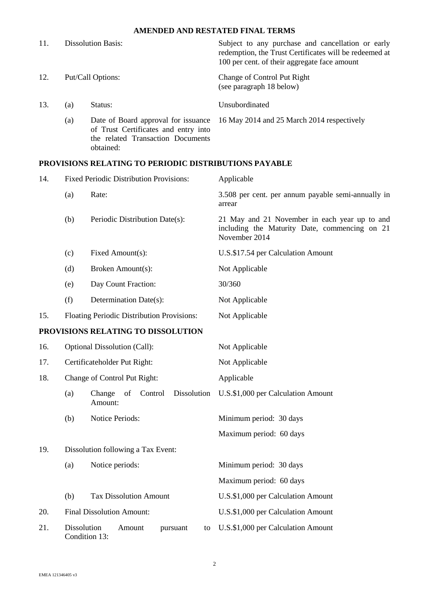| 11. | <b>Dissolution Basis:</b> |                                                                                                                               | Subject to any purchase and cancellation or early<br>redemption, the Trust Certificates will be redeemed at<br>100 per cent. of their aggregate face amount |  |
|-----|---------------------------|-------------------------------------------------------------------------------------------------------------------------------|-------------------------------------------------------------------------------------------------------------------------------------------------------------|--|
| 12. |                           | Put/Call Options:                                                                                                             | Change of Control Put Right<br>(see paragraph 18 below)                                                                                                     |  |
| 13. | (a)                       | Status:                                                                                                                       | Unsubordinated                                                                                                                                              |  |
|     | (a)                       | Date of Board approval for issuance<br>of Trust Certificates and entry into<br>the related Transaction Documents<br>obtained: | 16 May 2014 and 25 March 2014 respectively                                                                                                                  |  |

## **PROVISIONS RELATING TO PERIODIC DISTRIBUTIONS PAYABLE**

| 14. | <b>Fixed Periodic Distribution Provisions:</b>                  |                                                   | Applicable                                                                                                      |  |
|-----|-----------------------------------------------------------------|---------------------------------------------------|-----------------------------------------------------------------------------------------------------------------|--|
|     | (a)                                                             | Rate:                                             | 3.508 per cent. per annum payable semi-annually in<br>arrear                                                    |  |
|     | (b)                                                             | Periodic Distribution Date(s):                    | 21 May and 21 November in each year up to and<br>including the Maturity Date, commencing on 21<br>November 2014 |  |
|     | (c)                                                             | Fixed Amount(s):                                  | U.S.\$17.54 per Calculation Amount                                                                              |  |
|     | (d)                                                             | Broken Amount(s):                                 | Not Applicable                                                                                                  |  |
|     | (e)                                                             | Day Count Fraction:                               | 30/360                                                                                                          |  |
|     | (f)                                                             | Determination Date(s):                            | Not Applicable                                                                                                  |  |
| 15. |                                                                 | Floating Periodic Distribution Provisions:        | Not Applicable                                                                                                  |  |
|     |                                                                 | PROVISIONS RELATING TO DISSOLUTION                |                                                                                                                 |  |
| 16. |                                                                 | Optional Dissolution (Call):                      | Not Applicable                                                                                                  |  |
| 17. |                                                                 | Certificateholder Put Right:                      | Not Applicable                                                                                                  |  |
| 18. | Change of Control Put Right:                                    |                                                   | Applicable                                                                                                      |  |
|     | (a)                                                             | Dissolution<br>of<br>Control<br>Change<br>Amount: | U.S.\$1,000 per Calculation Amount                                                                              |  |
|     | (b)                                                             | Notice Periods:                                   | Minimum period: 30 days                                                                                         |  |
|     |                                                                 |                                                   | Maximum period: 60 days                                                                                         |  |
| 19. | Dissolution following a Tax Event:                              |                                                   |                                                                                                                 |  |
|     | (a)                                                             | Notice periods:                                   | Minimum period: 30 days                                                                                         |  |
|     |                                                                 |                                                   | Maximum period: 60 days                                                                                         |  |
|     | (b)                                                             | <b>Tax Dissolution Amount</b>                     | U.S.\$1,000 per Calculation Amount                                                                              |  |
| 20. |                                                                 | <b>Final Dissolution Amount:</b>                  | U.S.\$1,000 per Calculation Amount                                                                              |  |
| 21. | <b>Dissolution</b><br>Amount<br>pursuant<br>to<br>Condition 13: |                                                   | U.S.\$1,000 per Calculation Amount                                                                              |  |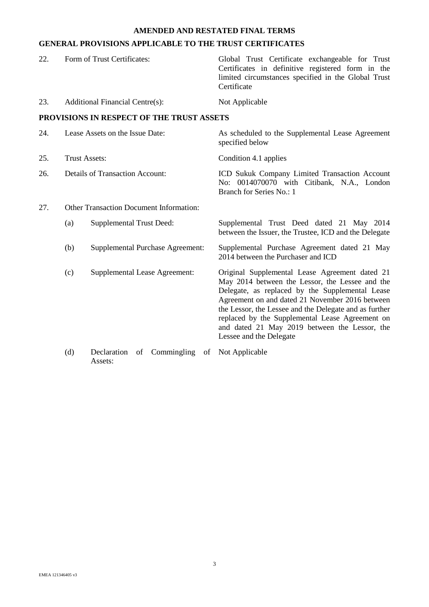## **GENERAL PROVISIONS APPLICABLE TO THE TRUST CERTIFICATES**

| 22. | Form of Trust Certificates:                    |                                                   | Global Trust Certificate exchangeable for Trust<br>Certificates in definitive registered form in the<br>limited circumstances specified in the Global Trust<br>Certificate                                                                                                                                                                                                                       |
|-----|------------------------------------------------|---------------------------------------------------|--------------------------------------------------------------------------------------------------------------------------------------------------------------------------------------------------------------------------------------------------------------------------------------------------------------------------------------------------------------------------------------------------|
| 23. |                                                | <b>Additional Financial Centre(s):</b>            | Not Applicable                                                                                                                                                                                                                                                                                                                                                                                   |
|     |                                                | PROVISIONS IN RESPECT OF THE TRUST ASSETS         |                                                                                                                                                                                                                                                                                                                                                                                                  |
| 24. | Lease Assets on the Issue Date:                |                                                   | As scheduled to the Supplemental Lease Agreement<br>specified below                                                                                                                                                                                                                                                                                                                              |
| 25. | <b>Trust Assets:</b>                           |                                                   | Condition 4.1 applies                                                                                                                                                                                                                                                                                                                                                                            |
| 26. | <b>Details of Transaction Account:</b>         |                                                   | ICD Sukuk Company Limited Transaction Account<br>No: 0014070070 with Citibank, N.A., London<br>Branch for Series No.: 1                                                                                                                                                                                                                                                                          |
| 27. | <b>Other Transaction Document Information:</b> |                                                   |                                                                                                                                                                                                                                                                                                                                                                                                  |
|     | (a)                                            | <b>Supplemental Trust Deed:</b>                   | Supplemental Trust Deed dated 21 May 2014<br>between the Issuer, the Trustee, ICD and the Delegate                                                                                                                                                                                                                                                                                               |
|     | (b)                                            | <b>Supplemental Purchase Agreement:</b>           | Supplemental Purchase Agreement dated 21 May<br>2014 between the Purchaser and ICD                                                                                                                                                                                                                                                                                                               |
|     | (c)                                            | Supplemental Lease Agreement:                     | Original Supplemental Lease Agreement dated 21<br>May 2014 between the Lessor, the Lessee and the<br>Delegate, as replaced by the Supplemental Lease<br>Agreement on and dated 21 November 2016 between<br>the Lessor, the Lessee and the Delegate and as further<br>replaced by the Supplemental Lease Agreement on<br>and dated 21 May 2019 between the Lessor, the<br>Lessee and the Delegate |
|     | (d)                                            | Commingling<br>Declaration<br>of<br>of<br>Assets: | Not Applicable                                                                                                                                                                                                                                                                                                                                                                                   |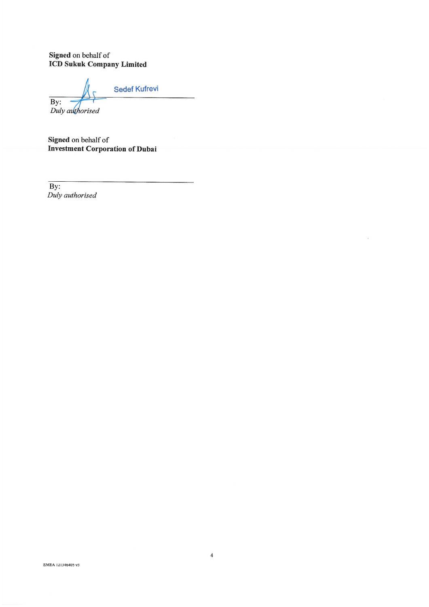Signed on behalf of<br>ICD Sukuk Company Limited

**Sedef Kufrevi**  $\overline{By:}$ 

Duly authorised

Signed on behalf of **Investment Corporation of Dubai** 

 $\overline{By:}$ Duly authorised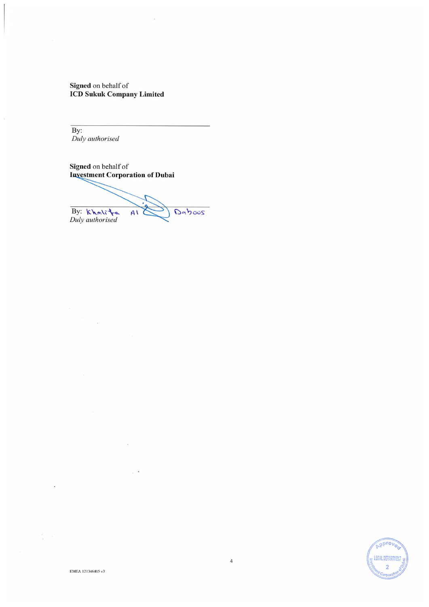Signed on behalf of **ICD Sukuk Company Limited** 

By: Duly authorised

 $\ddot{\phantom{a}}$ 

Signed on behalf of **Investment Corporation of Dubai** 

By: khalite Daboos  $A\Lambda$ 

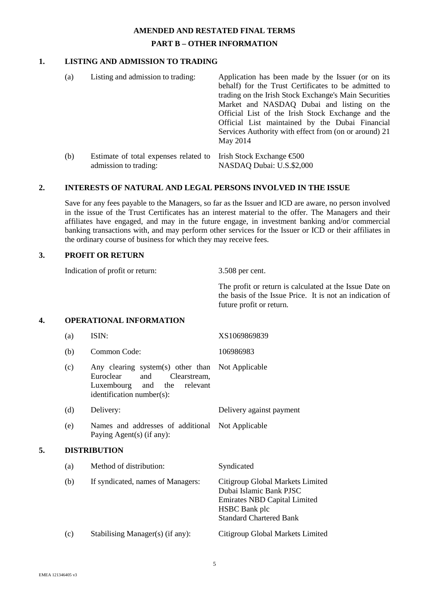# **AMENDED AND RESTATED FINAL TERMS PART B – OTHER INFORMATION**

### **1. LISTING AND ADMISSION TO TRADING**

(a) Listing and admission to trading: Application has been made by the Issuer (or on its behalf) for the Trust Certificates to be admitted to trading on the Irish Stock Exchange's Main Securities Market and NASDAQ Dubai and listing on the Official List of the Irish Stock Exchange and the Official List maintained by the Dubai Financial Services Authority with effect from (on or around) 21 May 2014 (b) Estimate of total expenses related to admission to trading: Irish Stock Exchange €500 NASDAQ Dubai: U.S.\$2,000

### **2. INTERESTS OF NATURAL AND LEGAL PERSONS INVOLVED IN THE ISSUE**

Save for any fees payable to the Managers, so far as the Issuer and ICD are aware, no person involved in the issue of the Trust Certificates has an interest material to the offer. The Managers and their affiliates have engaged, and may in the future engage, in investment banking and/or commercial banking transactions with, and may perform other services for the Issuer or ICD or their affiliates in the ordinary course of business for which they may receive fees.

### **3. PROFIT OR RETURN**

Indication of profit or return: 3.508 per cent.

The profit or return is calculated at the Issue Date on the basis of the Issue Price. It is not an indication of future profit or return.

### **4. OPERATIONAL INFORMATION**

|    | (a) | ISIN:                                                                                                                                      | XS1069869839                                                                                                                                                 |
|----|-----|--------------------------------------------------------------------------------------------------------------------------------------------|--------------------------------------------------------------------------------------------------------------------------------------------------------------|
|    | (b) | Common Code:                                                                                                                               | 106986983                                                                                                                                                    |
|    | (c) | Any clearing system(s) other than<br>Euroclear<br>Clearstream,<br>and<br>Luxembourg<br>the<br>relevant<br>and<br>identification number(s): | Not Applicable                                                                                                                                               |
|    | (d) | Delivery:                                                                                                                                  | Delivery against payment                                                                                                                                     |
|    | (e) | Names and addresses of additional<br>Paying Agent(s) (if any):                                                                             | Not Applicable                                                                                                                                               |
| 5. |     | <b>DISTRIBUTION</b>                                                                                                                        |                                                                                                                                                              |
|    | (a) | Method of distribution:                                                                                                                    | Syndicated                                                                                                                                                   |
|    | (b) | If syndicated, names of Managers:                                                                                                          | Citigroup Global Markets Limited<br>Dubai Islamic Bank PJSC<br><b>Emirates NBD Capital Limited</b><br><b>HSBC</b> Bank plc<br><b>Standard Chartered Bank</b> |
|    | (c) | Stabilising Manager(s) (if any):                                                                                                           | Citigroup Global Markets Limited                                                                                                                             |
|    |     |                                                                                                                                            |                                                                                                                                                              |